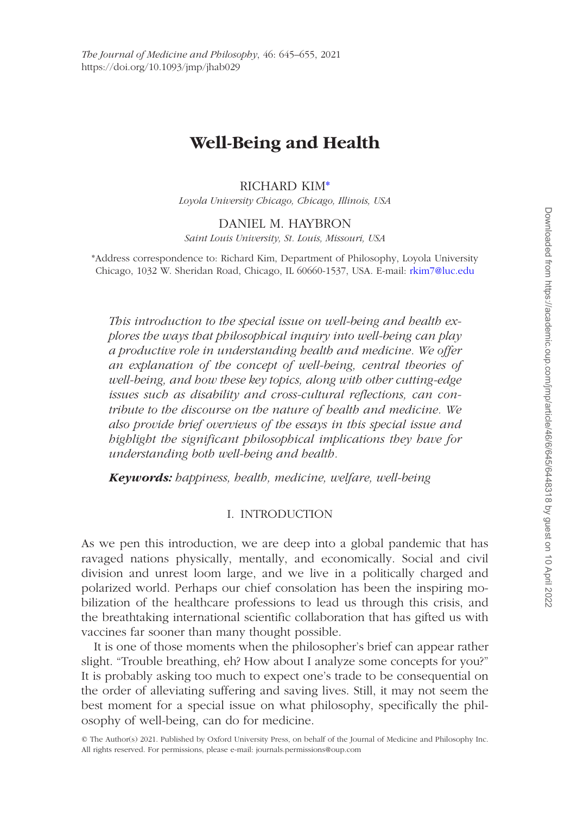# **Well-Being and Health**

## RICHARD KIM[\\*](#page-0-0)

*Loyola University Chicago, Chicago, Illinois, USA*

## DANIEL M. HAYBRON

*Saint Louis University, St. Louis, Missouri, USA*

<span id="page-0-0"></span>\*Address correspondence to: Richard Kim, Department of Philosophy, Loyola University Chicago, 1032 W. Sheridan Road, Chicago, IL 60660-1537, USA. E-mail: [rkim7@luc.edu](mailto:rkim7@luc.edu?subject=)

*This introduction to the special issue on well-being and health explores the ways that philosophical inquiry into well-being can play a productive role in understanding health and medicine. We offer an explanation of the concept of well-being, central theories of well-being, and how these key topics, along with other cutting-edge issues such as disability and cross-cultural reflections, can contribute to the discourse on the nature of health and medicine. We also provide brief overviews of the essays in this special issue and highlight the significant philosophical implications they have for understanding both well-being and health.*

*Keywords: happiness, health, medicine, welfare, well-being*

## I. INTRODUCTION

As we pen this introduction, we are deep into a global pandemic that has ravaged nations physically, mentally, and economically. Social and civil division and unrest loom large, and we live in a politically charged and polarized world. Perhaps our chief consolation has been the inspiring mobilization of the healthcare professions to lead us through this crisis, and the breathtaking international scientific collaboration that has gifted us with vaccines far sooner than many thought possible.

It is one of those moments when the philosopher's brief can appear rather slight. "Trouble breathing, eh? How about I analyze some concepts for you?" It is probably asking too much to expect one's trade to be consequential on the order of alleviating suffering and saving lives. Still, it may not seem the best moment for a special issue on what philosophy, specifically the philosophy of well-being, can do for medicine.

<sup>©</sup> The Author(s) 2021. Published by Oxford University Press, on behalf of the Journal of Medicine and Philosophy Inc. All rights reserved. For permissions, please e-mail: journals.permissions@oup.com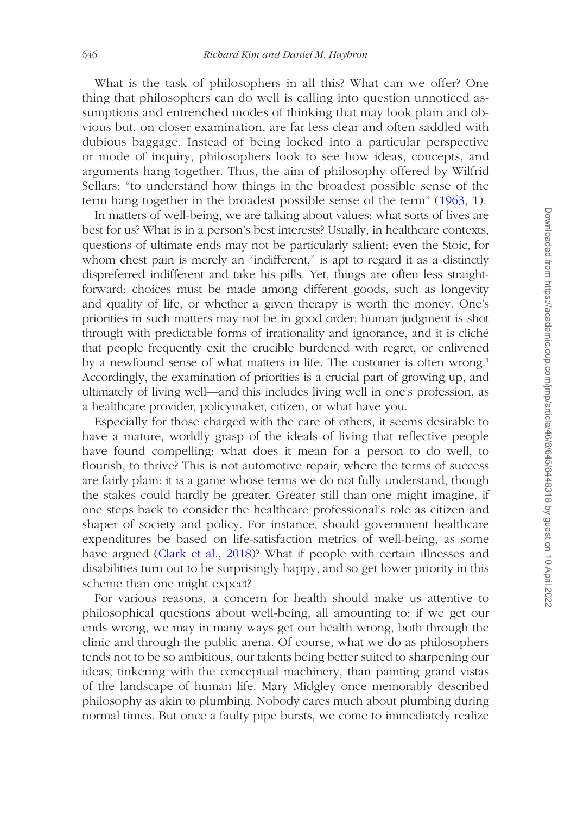What is the task of philosophers in all this? What can we offer? One thing that philosophers can do well is calling into question unnoticed assumptions and entrenched modes of thinking that may look plain and obvious but, on closer examination, are far less clear and often saddled with dubious baggage. Instead of being locked into a particular perspective or mode of inquiry, philosophers look to see how ideas, concepts, and arguments hang together. Thus, the aim of philosophy offered by Wilfrid Sellars: "to understand how things in the broadest possible sense of the term hang together in the broadest possible sense of the term" [\(1963](#page-10-0), 1).

In matters of well-being, we are talking about values: what sorts of lives are best for us? What is in a person's best interests? Usually, in healthcare contexts, questions of ultimate ends may not be particularly salient: even the Stoic, for whom chest pain is merely an "indifferent," is apt to regard it as a distinctly dispreferred indifferent and take his pills. Yet, things are often less straightforward: choices must be made among different goods, such as longevity and quality of life, or whether a given therapy is worth the money. One's priorities in such matters may not be in good order: human judgment is shot through with predictable forms of irrationality and ignorance, and it is cliché that people frequently exit the crucible burdened with regret, or enlivened by a newfound sense of what matters in life. The customer is often wrong.<sup>1</sup> Accordingly, the examination of priorities is a crucial part of growing up, and ultimately of living well—and this includes living well in one's profession, as a healthcare provider, policymaker, citizen, or what have you.

Especially for those charged with the care of others, it seems desirable to have a mature, worldly grasp of the ideals of living that reflective people have found compelling: what does it mean for a person to do well, to flourish, to thrive? This is not automotive repair, where the terms of success are fairly plain: it is a game whose terms we do not fully understand, though the stakes could hardly be greater. Greater still than one might imagine, if one steps back to consider the healthcare professional's role as citizen and shaper of society and policy. For instance, should government healthcare expenditures be based on life-satisfaction metrics of well-being, as some have argued [\(Clark et al., 2018](#page-10-1))? What if people with certain illnesses and disabilities turn out to be surprisingly happy, and so get lower priority in this scheme than one might expect?

For various reasons, a concern for health should make us attentive to philosophical questions about well-being, all amounting to: if we get our ends wrong, we may in many ways get our health wrong, both through the clinic and through the public arena. Of course, what we do as philosophers tends not to be so ambitious, our talents being better suited to sharpening our ideas, tinkering with the conceptual machinery, than painting grand vistas of the landscape of human life. Mary Midgley once memorably described philosophy as akin to plumbing. Nobody cares much about plumbing during normal times. But once a faulty pipe bursts, we come to immediately realize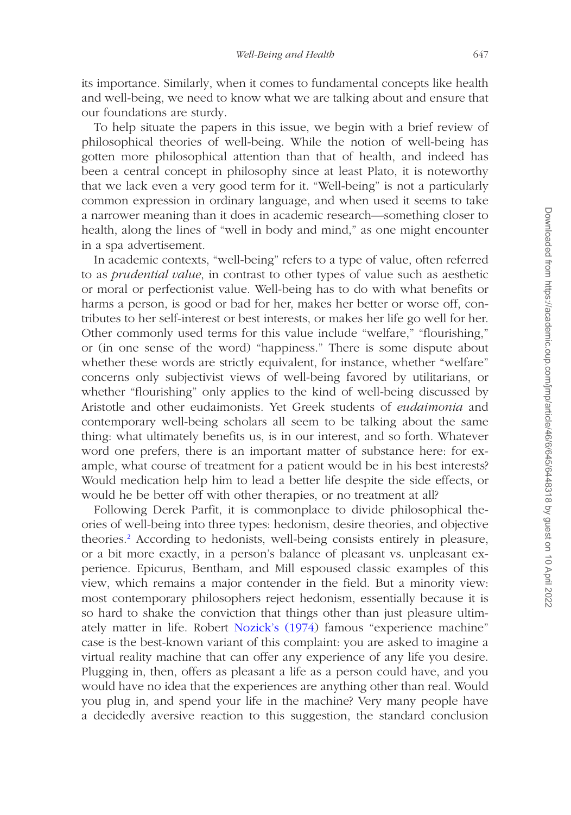its importance. Similarly, when it comes to fundamental concepts like health and well-being, we need to know what we are talking about and ensure that our foundations are sturdy.

To help situate the papers in this issue, we begin with a brief review of philosophical theories of well-being. While the notion of well-being has gotten more philosophical attention than that of health, and indeed has been a central concept in philosophy since at least Plato, it is noteworthy that we lack even a very good term for it. "Well-being" is not a particularly common expression in ordinary language, and when used it seems to take a narrower meaning than it does in academic research—something closer to health, along the lines of "well in body and mind," as one might encounter in a spa advertisement.

In academic contexts, "well-being" refers to a type of value, often referred to as *prudential value*, in contrast to other types of value such as aesthetic or moral or perfectionist value. Well-being has to do with what benefits or harms a person, is good or bad for her, makes her better or worse off, contributes to her self-interest or best interests, or makes her life go well for her. Other commonly used terms for this value include "welfare," "flourishing," or (in one sense of the word) "happiness." There is some dispute about whether these words are strictly equivalent, for instance, whether "welfare" concerns only subjectivist views of well-being favored by utilitarians, or whether "flourishing" only applies to the kind of well-being discussed by Aristotle and other eudaimonists. Yet Greek students of *eudaimonia* and contemporary well-being scholars all seem to be talking about the same thing: what ultimately benefits us, is in our interest, and so forth. Whatever word one prefers, there is an important matter of substance here: for example, what course of treatment for a patient would be in his best interests? Would medication help him to lead a better life despite the side effects, or would he be better off with other therapies, or no treatment at all?

Following Derek Parfit, it is commonplace to divide philosophical theories of well-being into three types: hedonism, desire theories, and objective theories[.2](#page-9-1) According to hedonists, well-being consists entirely in pleasure, or a bit more exactly, in a person's balance of pleasant vs. unpleasant experience. Epicurus, Bentham, and Mill espoused classic examples of this view, which remains a major contender in the field. But a minority view: most contemporary philosophers reject hedonism, essentially because it is so hard to shake the conviction that things other than just pleasure ultimately matter in life. Robert [Nozick's \(1974\)](#page-10-2) famous "experience machine" case is the best-known variant of this complaint: you are asked to imagine a virtual reality machine that can offer any experience of any life you desire. Plugging in, then, offers as pleasant a life as a person could have, and you would have no idea that the experiences are anything other than real. Would you plug in, and spend your life in the machine? Very many people have a decidedly aversive reaction to this suggestion, the standard conclusion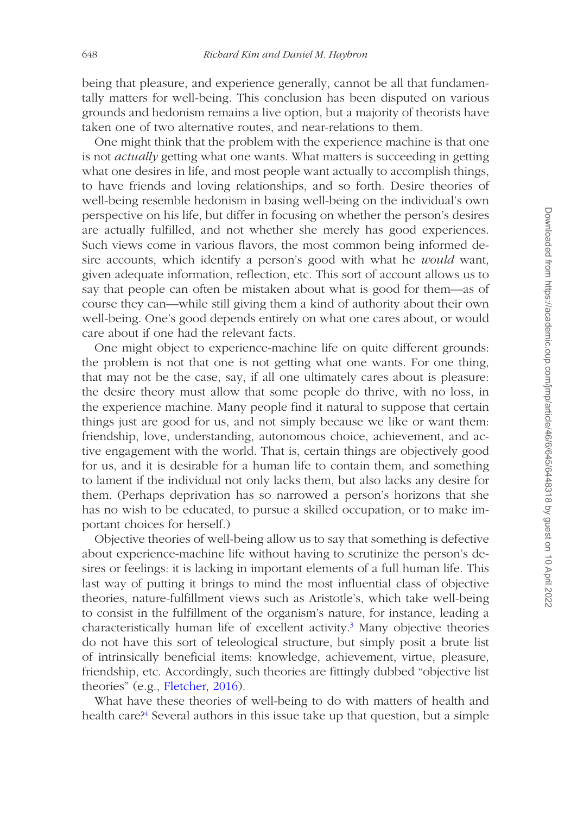being that pleasure, and experience generally, cannot be all that fundamentally matters for well-being. This conclusion has been disputed on various grounds and hedonism remains a live option, but a majority of theorists have taken one of two alternative routes, and near-relations to them.

One might think that the problem with the experience machine is that one is not *actually* getting what one wants. What matters is succeeding in getting what one desires in life, and most people want actually to accomplish things, to have friends and loving relationships, and so forth. Desire theories of well-being resemble hedonism in basing well-being on the individual's own perspective on his life, but differ in focusing on whether the person's desires are actually fulfilled, and not whether she merely has good experiences. Such views come in various flavors, the most common being informed desire accounts, which identify a person's good with what he *would* want, given adequate information, reflection, etc. This sort of account allows us to say that people can often be mistaken about what is good for them—as of course they can—while still giving them a kind of authority about their own well-being. One's good depends entirely on what one cares about, or would care about if one had the relevant facts.

One might object to experience-machine life on quite different grounds: the problem is not that one is not getting what one wants. For one thing, that may not be the case, say, if all one ultimately cares about is pleasure: the desire theory must allow that some people do thrive, with no loss, in the experience machine. Many people find it natural to suppose that certain things just are good for us, and not simply because we like or want them: friendship, love, understanding, autonomous choice, achievement, and active engagement with the world. That is, certain things are objectively good for us, and it is desirable for a human life to contain them, and something to lament if the individual not only lacks them, but also lacks any desire for them. (Perhaps deprivation has so narrowed a person's horizons that she has no wish to be educated, to pursue a skilled occupation, or to make important choices for herself.)

Objective theories of well-being allow us to say that something is defective about experience-machine life without having to scrutinize the person's desires or feelings: it is lacking in important elements of a full human life. This last way of putting it brings to mind the most influential class of objective theories, nature-fulfillment views such as Aristotle's, which take well-being to consist in the fulfillment of the organism's nature, for instance, leading a characteristically human life of excellent activity.<sup>3</sup> Many objective theories do not have this sort of teleological structure, but simply posit a brute list of intrinsically beneficial items: knowledge, achievement, virtue, pleasure, friendship, etc. Accordingly, such theories are fittingly dubbed "objective list theories" (e.g., [Fletcher, 2016](#page-10-3)).

What have these theories of well-being to do with matters of health and health care?<sup>[4](#page-9-3)</sup> Several authors in this issue take up that question, but a simple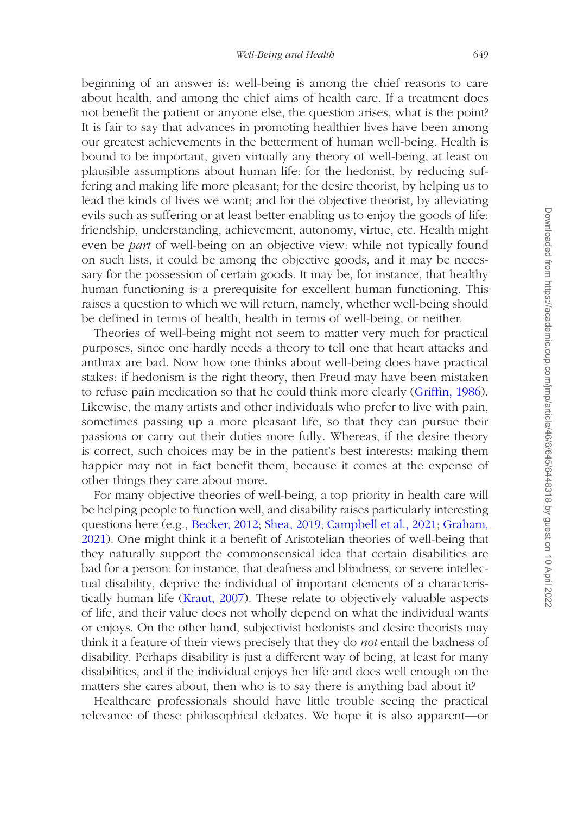beginning of an answer is: well-being is among the chief reasons to care about health, and among the chief aims of health care. If a treatment does not benefit the patient or anyone else, the question arises, what is the point? It is fair to say that advances in promoting healthier lives have been among our greatest achievements in the betterment of human well-being. Health is bound to be important, given virtually any theory of well-being, at least on plausible assumptions about human life: for the hedonist, by reducing suffering and making life more pleasant; for the desire theorist, by helping us to lead the kinds of lives we want; and for the objective theorist, by alleviating evils such as suffering or at least better enabling us to enjoy the goods of life: friendship, understanding, achievement, autonomy, virtue, etc. Health might even be *part* of well-being on an objective view: while not typically found on such lists, it could be among the objective goods, and it may be necessary for the possession of certain goods. It may be, for instance, that healthy human functioning is a prerequisite for excellent human functioning. This raises a question to which we will return, namely, whether well-being should be defined in terms of health, health in terms of well-being, or neither.

Theories of well-being might not seem to matter very much for practical purposes, since one hardly needs a theory to tell one that heart attacks and anthrax are bad. Now how one thinks about well-being does have practical stakes: if hedonism is the right theory, then Freud may have been mistaken to refuse pain medication so that he could think more clearly ([Griffin, 1986](#page-10-4)). Likewise, the many artists and other individuals who prefer to live with pain, sometimes passing up a more pleasant life, so that they can pursue their passions or carry out their duties more fully. Whereas, if the desire theory is correct, such choices may be in the patient's best interests: making them happier may not in fact benefit them, because it comes at the expense of other things they care about more.

For many objective theories of well-being, a top priority in health care will be helping people to function well, and disability raises particularly interesting questions here (e.g., [Becker, 2012](#page-10-5); [Shea, 2019;](#page-10-6) [Campbell et al., 2021](#page-10-7); [Graham,](#page-10-8)  [2021\)](#page-10-8). One might think it a benefit of Aristotelian theories of well-being that they naturally support the commonsensical idea that certain disabilities are bad for a person: for instance, that deafness and blindness, or severe intellectual disability, deprive the individual of important elements of a characteristically human life ([Kraut, 2007\)](#page-10-9). These relate to objectively valuable aspects of life, and their value does not wholly depend on what the individual wants or enjoys. On the other hand, subjectivist hedonists and desire theorists may think it a feature of their views precisely that they do *not* entail the badness of disability. Perhaps disability is just a different way of being, at least for many disabilities, and if the individual enjoys her life and does well enough on the matters she cares about, then who is to say there is anything bad about it?

Healthcare professionals should have little trouble seeing the practical relevance of these philosophical debates. We hope it is also apparent—or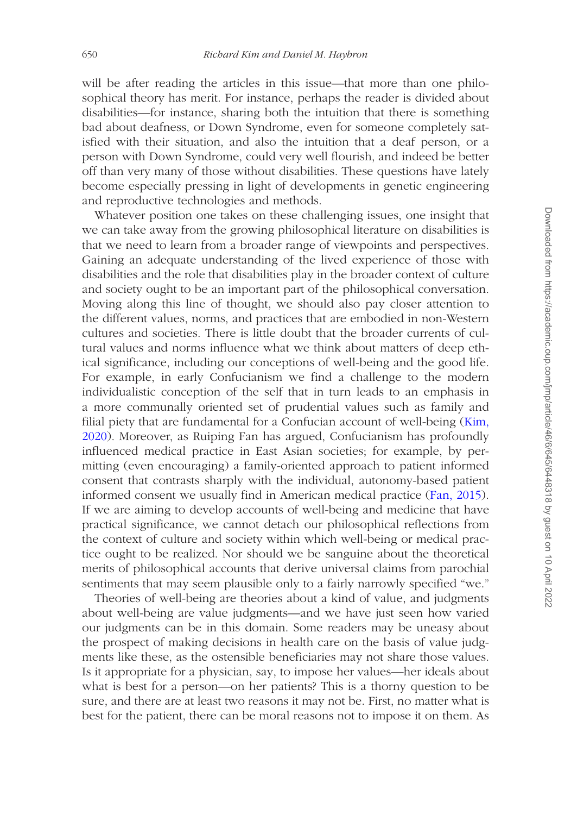will be after reading the articles in this issue—that more than one philosophical theory has merit. For instance, perhaps the reader is divided about disabilities—for instance, sharing both the intuition that there is something bad about deafness, or Down Syndrome, even for someone completely satisfied with their situation, and also the intuition that a deaf person, or a person with Down Syndrome, could very well flourish, and indeed be better off than very many of those without disabilities. These questions have lately become especially pressing in light of developments in genetic engineering and reproductive technologies and methods.

Whatever position one takes on these challenging issues, one insight that we can take away from the growing philosophical literature on disabilities is that we need to learn from a broader range of viewpoints and perspectives. Gaining an adequate understanding of the lived experience of those with disabilities and the role that disabilities play in the broader context of culture and society ought to be an important part of the philosophical conversation. Moving along this line of thought, we should also pay closer attention to the different values, norms, and practices that are embodied in non-Western cultures and societies. There is little doubt that the broader currents of cultural values and norms influence what we think about matters of deep ethical significance, including our conceptions of well-being and the good life. For example, in early Confucianism we find a challenge to the modern individualistic conception of the self that in turn leads to an emphasis in a more communally oriented set of prudential values such as family and filial piety that are fundamental for a Confucian account of well-being ([Kim,](#page-10-10)  [2020\)](#page-10-10). Moreover, as Ruiping Fan has argued, Confucianism has profoundly influenced medical practice in East Asian societies; for example, by permitting (even encouraging) a family-oriented approach to patient informed consent that contrasts sharply with the individual, autonomy-based patient informed consent we usually find in American medical practice [\(Fan, 2015\)](#page-10-11). If we are aiming to develop accounts of well-being and medicine that have practical significance, we cannot detach our philosophical reflections from the context of culture and society within which well-being or medical practice ought to be realized. Nor should we be sanguine about the theoretical merits of philosophical accounts that derive universal claims from parochial sentiments that may seem plausible only to a fairly narrowly specified "we."

Theories of well-being are theories about a kind of value, and judgments about well-being are value judgments—and we have just seen how varied our judgments can be in this domain. Some readers may be uneasy about the prospect of making decisions in health care on the basis of value judgments like these, as the ostensible beneficiaries may not share those values. Is it appropriate for a physician, say, to impose her values—her ideals about what is best for a person—on her patients? This is a thorny question to be sure, and there are at least two reasons it may not be. First, no matter what is best for the patient, there can be moral reasons not to impose it on them. As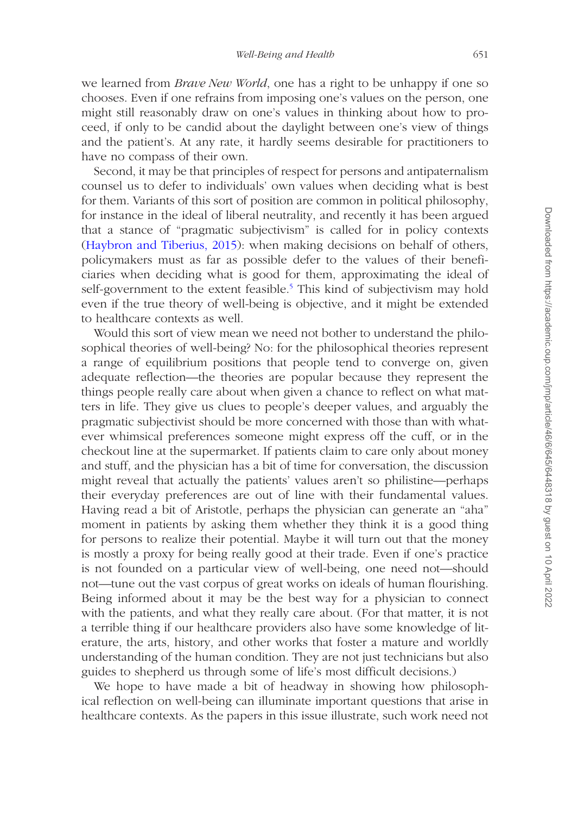we learned from *Brave New World*, one has a right to be unhappy if one so chooses. Even if one refrains from imposing one's values on the person, one might still reasonably draw on one's values in thinking about how to proceed, if only to be candid about the daylight between one's view of things and the patient's. At any rate, it hardly seems desirable for practitioners to have no compass of their own.

Second, it may be that principles of respect for persons and antipaternalism counsel us to defer to individuals' own values when deciding what is best for them. Variants of this sort of position are common in political philosophy, for instance in the ideal of liberal neutrality, and recently it has been argued that a stance of "pragmatic subjectivism" is called for in policy contexts ([Haybron and Tiberius, 2015\)](#page-10-12): when making decisions on behalf of others, policymakers must as far as possible defer to the values of their beneficiaries when deciding what is good for them, approximating the ideal of self-government to the extent feasible.<sup>[5](#page-9-4)</sup> This kind of subjectivism may hold even if the true theory of well-being is objective, and it might be extended to healthcare contexts as well.

Would this sort of view mean we need not bother to understand the philosophical theories of well-being? No: for the philosophical theories represent a range of equilibrium positions that people tend to converge on, given adequate reflection—the theories are popular because they represent the things people really care about when given a chance to reflect on what matters in life. They give us clues to people's deeper values, and arguably the pragmatic subjectivist should be more concerned with those than with whatever whimsical preferences someone might express off the cuff, or in the checkout line at the supermarket. If patients claim to care only about money and stuff, and the physician has a bit of time for conversation, the discussion might reveal that actually the patients' values aren't so philistine—perhaps their everyday preferences are out of line with their fundamental values. Having read a bit of Aristotle, perhaps the physician can generate an "aha" moment in patients by asking them whether they think it is a good thing for persons to realize their potential. Maybe it will turn out that the money is mostly a proxy for being really good at their trade. Even if one's practice is not founded on a particular view of well-being, one need not—should not—tune out the vast corpus of great works on ideals of human flourishing. Being informed about it may be the best way for a physician to connect with the patients, and what they really care about. (For that matter, it is not a terrible thing if our healthcare providers also have some knowledge of literature, the arts, history, and other works that foster a mature and worldly understanding of the human condition. They are not just technicians but also guides to shepherd us through some of life's most difficult decisions.)

We hope to have made a bit of headway in showing how philosophical reflection on well-being can illuminate important questions that arise in healthcare contexts. As the papers in this issue illustrate, such work need not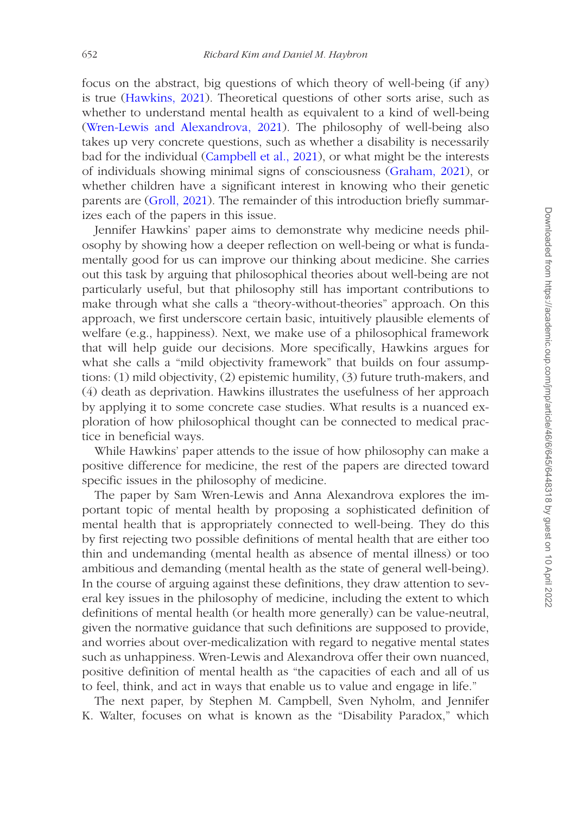focus on the abstract, big questions of which theory of well-being (if any) is true ([Hawkins, 2021\)](#page-10-13). Theoretical questions of other sorts arise, such as whether to understand mental health as equivalent to a kind of well-being ([Wren-Lewis and Alexandrova, 2021\)](#page-10-14). The philosophy of well-being also takes up very concrete questions, such as whether a disability is necessarily bad for the individual ([Campbell et al., 2021](#page-10-7)), or what might be the interests of individuals showing minimal signs of consciousness ([Graham, 2021\)](#page-10-8), or whether children have a significant interest in knowing who their genetic parents are ([Groll, 2021\)](#page-10-15). The remainder of this introduction briefly summarizes each of the papers in this issue.

Jennifer Hawkins' paper aims to demonstrate why medicine needs philosophy by showing how a deeper reflection on well-being or what is fundamentally good for us can improve our thinking about medicine. She carries out this task by arguing that philosophical theories about well-being are not particularly useful, but that philosophy still has important contributions to make through what she calls a "theory-without-theories" approach. On this approach, we first underscore certain basic, intuitively plausible elements of welfare (e.g., happiness). Next, we make use of a philosophical framework that will help guide our decisions. More specifically, Hawkins argues for what she calls a "mild objectivity framework" that builds on four assumptions: (1) mild objectivity, (2) epistemic humility, (3) future truth-makers, and (4) death as deprivation. Hawkins illustrates the usefulness of her approach by applying it to some concrete case studies. What results is a nuanced exploration of how philosophical thought can be connected to medical practice in beneficial ways.

While Hawkins' paper attends to the issue of how philosophy can make a positive difference for medicine, the rest of the papers are directed toward specific issues in the philosophy of medicine.

The paper by Sam Wren-Lewis and Anna Alexandrova explores the important topic of mental health by proposing a sophisticated definition of mental health that is appropriately connected to well-being. They do this by first rejecting two possible definitions of mental health that are either too thin and undemanding (mental health as absence of mental illness) or too ambitious and demanding (mental health as the state of general well-being). In the course of arguing against these definitions, they draw attention to several key issues in the philosophy of medicine, including the extent to which definitions of mental health (or health more generally) can be value-neutral, given the normative guidance that such definitions are supposed to provide, and worries about over-medicalization with regard to negative mental states such as unhappiness. Wren-Lewis and Alexandrova offer their own nuanced, positive definition of mental health as "the capacities of each and all of us to feel, think, and act in ways that enable us to value and engage in life."

The next paper, by Stephen M. Campbell, Sven Nyholm, and Jennifer K. Walter, focuses on what is known as the "Disability Paradox," which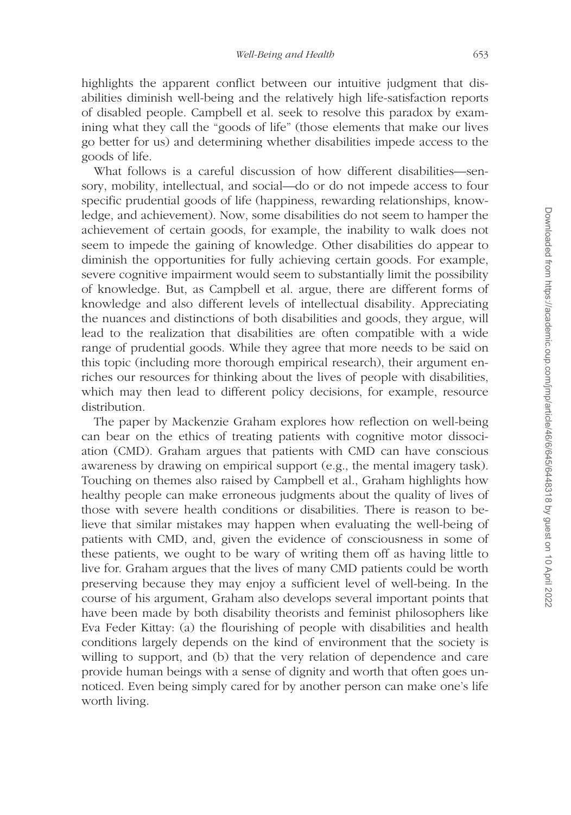highlights the apparent conflict between our intuitive judgment that disabilities diminish well-being and the relatively high life-satisfaction reports of disabled people. Campbell et al. seek to resolve this paradox by examining what they call the "goods of life" (those elements that make our lives go better for us) and determining whether disabilities impede access to the goods of life.

What follows is a careful discussion of how different disabilities—sensory, mobility, intellectual, and social—do or do not impede access to four specific prudential goods of life (happiness, rewarding relationships, knowledge, and achievement). Now, some disabilities do not seem to hamper the achievement of certain goods, for example, the inability to walk does not seem to impede the gaining of knowledge. Other disabilities do appear to diminish the opportunities for fully achieving certain goods. For example, severe cognitive impairment would seem to substantially limit the possibility of knowledge. But, as Campbell et al. argue, there are different forms of knowledge and also different levels of intellectual disability. Appreciating the nuances and distinctions of both disabilities and goods, they argue, will lead to the realization that disabilities are often compatible with a wide range of prudential goods. While they agree that more needs to be said on this topic (including more thorough empirical research), their argument enriches our resources for thinking about the lives of people with disabilities, which may then lead to different policy decisions, for example, resource distribution.

The paper by Mackenzie Graham explores how reflection on well-being can bear on the ethics of treating patients with cognitive motor dissociation (CMD). Graham argues that patients with CMD can have conscious awareness by drawing on empirical support (e.g., the mental imagery task). Touching on themes also raised by Campbell et al., Graham highlights how healthy people can make erroneous judgments about the quality of lives of those with severe health conditions or disabilities. There is reason to believe that similar mistakes may happen when evaluating the well-being of patients with CMD, and, given the evidence of consciousness in some of these patients, we ought to be wary of writing them off as having little to live for. Graham argues that the lives of many CMD patients could be worth preserving because they may enjoy a sufficient level of well-being. In the course of his argument, Graham also develops several important points that have been made by both disability theorists and feminist philosophers like Eva Feder Kittay: (a) the flourishing of people with disabilities and health conditions largely depends on the kind of environment that the society is willing to support, and (b) that the very relation of dependence and care provide human beings with a sense of dignity and worth that often goes unnoticed. Even being simply cared for by another person can make one's life worth living.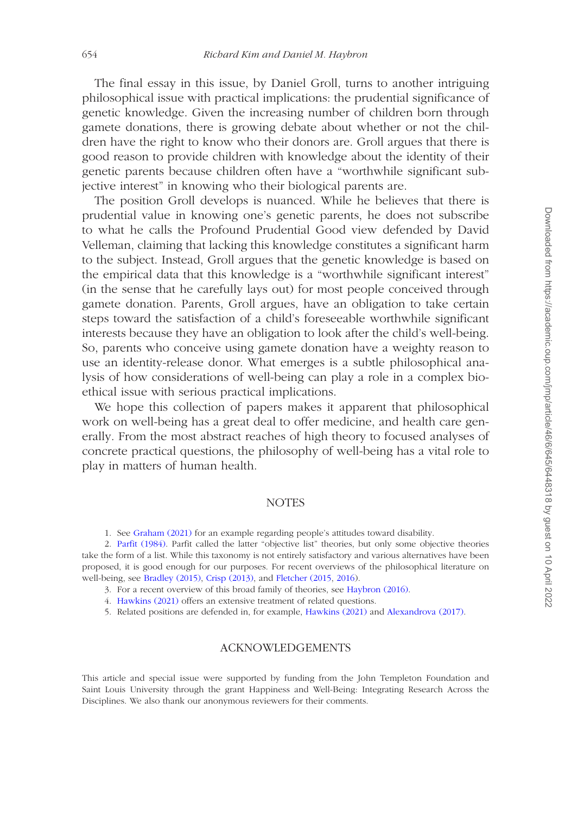The final essay in this issue, by Daniel Groll, turns to another intriguing philosophical issue with practical implications: the prudential significance of genetic knowledge. Given the increasing number of children born through gamete donations, there is growing debate about whether or not the children have the right to know who their donors are. Groll argues that there is good reason to provide children with knowledge about the identity of their genetic parents because children often have a "worthwhile significant subjective interest" in knowing who their biological parents are.

The position Groll develops is nuanced. While he believes that there is prudential value in knowing one's genetic parents, he does not subscribe to what he calls the Profound Prudential Good view defended by David Velleman, claiming that lacking this knowledge constitutes a significant harm to the subject. Instead, Groll argues that the genetic knowledge is based on the empirical data that this knowledge is a "worthwhile significant interest" (in the sense that he carefully lays out) for most people conceived through gamete donation. Parents, Groll argues, have an obligation to take certain steps toward the satisfaction of a child's foreseeable worthwhile significant interests because they have an obligation to look after the child's well-being. So, parents who conceive using gamete donation have a weighty reason to use an identity-release donor. What emerges is a subtle philosophical analysis of how considerations of well-being can play a role in a complex bioethical issue with serious practical implications.

We hope this collection of papers makes it apparent that philosophical work on well-being has a great deal to offer medicine, and health care generally. From the most abstract reaches of high theory to focused analyses of concrete practical questions, the philosophy of well-being has a vital role to play in matters of human health.

### NOTES

<span id="page-9-1"></span><span id="page-9-0"></span>1. See [Graham \(2021\)](#page-10-8) for an example regarding people's attitudes toward disability.

2. [Parfit \(1984\).](#page-10-16) Parfit called the latter "objective list" theories, but only some objective theories take the form of a list. While this taxonomy is not entirely satisfactory and various alternatives have been proposed, it is good enough for our purposes. For recent overviews of the philosophical literature on well-being, see [Bradley \(2015\),](#page-10-17) [Crisp \(2013\)](#page-10-18), and [Fletcher \(2015](#page-10-19), [2016\)](#page-10-3).

- <span id="page-9-2"></span>3. For a recent overview of this broad family of theories, see [Haybron \(2016\)](#page-10-20).
- <span id="page-9-3"></span>4. [Hawkins \(2021\)](#page-10-13) offers an extensive treatment of related questions.

<span id="page-9-4"></span>5. Related positions are defended in, for example, [Hawkins \(2021\)](#page-10-13) and [Alexandrova \(2017\).](#page-10-21)

### ACKNOWLEDGEMENTS

This article and special issue were supported by funding from the John Templeton Foundation and Saint Louis University through the grant Happiness and Well-Being: Integrating Research Across the Disciplines. We also thank our anonymous reviewers for their comments.